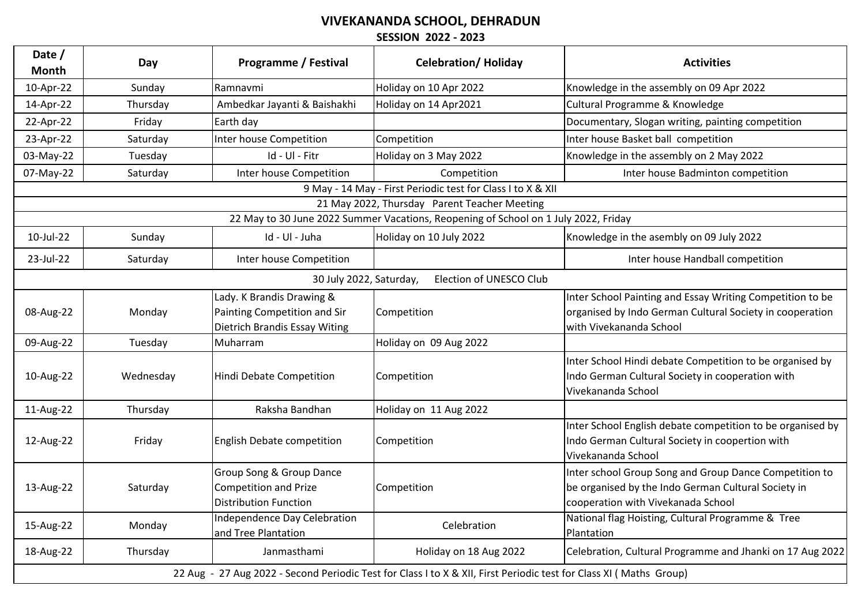## **VIVEKANANDA SCHOOL, DEHRADUN**

**SESSION 2022 - 2023**

| Date /<br><b>Month</b>                                                                                             | Day       | <b>Programme / Festival</b>                                                                | <b>Celebration/ Holiday</b>                                                         | <b>Activities</b>                                                                                                                                   |  |
|--------------------------------------------------------------------------------------------------------------------|-----------|--------------------------------------------------------------------------------------------|-------------------------------------------------------------------------------------|-----------------------------------------------------------------------------------------------------------------------------------------------------|--|
| 10-Apr-22                                                                                                          | Sunday    | Ramnavmi                                                                                   | Holiday on 10 Apr 2022                                                              | Knowledge in the assembly on 09 Apr 2022                                                                                                            |  |
| 14-Apr-22                                                                                                          | Thursday  | Ambedkar Jayanti & Baishakhi                                                               | Holiday on 14 Apr2021                                                               | Cultural Programme & Knowledge                                                                                                                      |  |
| 22-Apr-22                                                                                                          | Friday    | Earth day                                                                                  |                                                                                     | Documentary, Slogan writing, painting competition                                                                                                   |  |
| 23-Apr-22                                                                                                          | Saturday  | Inter house Competition                                                                    | Competition                                                                         | Inter house Basket ball competition                                                                                                                 |  |
| 03-May-22                                                                                                          | Tuesday   | Id - Ul - Fitr                                                                             | Holiday on 3 May 2022                                                               | Knowledge in the assembly on 2 May 2022                                                                                                             |  |
| 07-May-22                                                                                                          | Saturday  | Inter house Competition                                                                    | Competition                                                                         | Inter house Badminton competition                                                                                                                   |  |
|                                                                                                                    |           |                                                                                            | 9 May - 14 May - First Periodic test for Class I to X & XII                         |                                                                                                                                                     |  |
|                                                                                                                    |           |                                                                                            | 21 May 2022, Thursday Parent Teacher Meeting                                        |                                                                                                                                                     |  |
|                                                                                                                    |           |                                                                                            | 22 May to 30 June 2022 Summer Vacations, Reopening of School on 1 July 2022, Friday |                                                                                                                                                     |  |
| 10-Jul-22                                                                                                          | Sunday    | Id - Ul - Juha                                                                             | Holiday on 10 July 2022                                                             | Knowledge in the asembly on 09 July 2022                                                                                                            |  |
| 23-Jul-22                                                                                                          | Saturday  | Inter house Competition                                                                    |                                                                                     | Inter house Handball competition                                                                                                                    |  |
|                                                                                                                    |           | 30 July 2022, Saturday,                                                                    | Election of UNESCO Club                                                             |                                                                                                                                                     |  |
| 08-Aug-22                                                                                                          | Monday    | Lady. K Brandis Drawing &<br>Painting Competition and Sir<br>Dietrich Brandis Essay Witing | Competition                                                                         | Inter School Painting and Essay Writing Competition to be<br>organised by Indo German Cultural Society in cooperation<br>with Vivekananda School    |  |
| 09-Aug-22                                                                                                          | Tuesday   | Muharram                                                                                   | Holiday on 09 Aug 2022                                                              |                                                                                                                                                     |  |
| 10-Aug-22                                                                                                          | Wednesday | Hindi Debate Competition                                                                   | Competition                                                                         | Inter School Hindi debate Competition to be organised by<br>Indo German Cultural Society in cooperation with<br>Vivekananda School                  |  |
| 11-Aug-22                                                                                                          | Thursday  | Raksha Bandhan                                                                             | Holiday on 11 Aug 2022                                                              |                                                                                                                                                     |  |
| 12-Aug-22                                                                                                          | Friday    | English Debate competition                                                                 | Competition                                                                         | Inter School English debate competition to be organised by<br>Indo German Cultural Society in coopertion with<br>Vivekananda School                 |  |
| 13-Aug-22                                                                                                          | Saturday  | Group Song & Group Dance<br>Competition and Prize<br><b>Distribution Function</b>          | Competition                                                                         | Inter school Group Song and Group Dance Competition to<br>be organised by the Indo German Cultural Society in<br>cooperation with Vivekanada School |  |
| 15-Aug-22                                                                                                          | Monday    | Independence Day Celebration<br>and Tree Plantation                                        | Celebration                                                                         | National flag Hoisting, Cultural Programme & Tree<br>Plantation                                                                                     |  |
| 18-Aug-22                                                                                                          | Thursday  | Janmasthami                                                                                | Holiday on 18 Aug 2022                                                              | Celebration, Cultural Programme and Jhanki on 17 Aug 2022                                                                                           |  |
| 22 Aug - 27 Aug 2022 - Second Periodic Test for Class I to X & XII, First Periodic test for Class XI (Maths Group) |           |                                                                                            |                                                                                     |                                                                                                                                                     |  |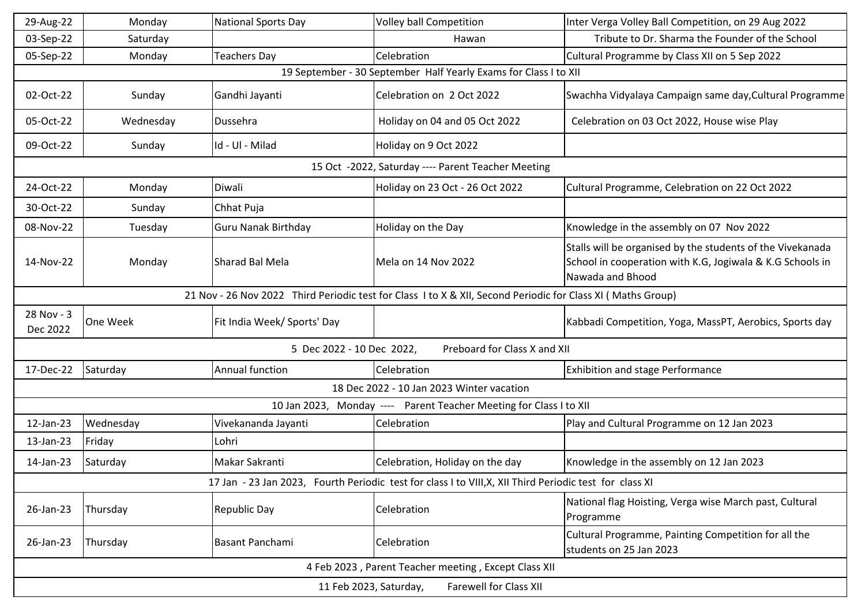| 29-Aug-22                                                                                                   | Monday    | <b>National Sports Day</b>  | Volley ball Competition                                            | Inter Verga Volley Ball Competition, on 29 Aug 2022                                                                                         |  |  |
|-------------------------------------------------------------------------------------------------------------|-----------|-----------------------------|--------------------------------------------------------------------|---------------------------------------------------------------------------------------------------------------------------------------------|--|--|
| 03-Sep-22                                                                                                   | Saturday  |                             | Hawan                                                              | Tribute to Dr. Sharma the Founder of the School                                                                                             |  |  |
| 05-Sep-22                                                                                                   | Monday    | <b>Teachers Day</b>         | Celebration                                                        | Cultural Programme by Class XII on 5 Sep 2022                                                                                               |  |  |
| 19 September - 30 September Half Yearly Exams for Class I to XII                                            |           |                             |                                                                    |                                                                                                                                             |  |  |
| 02-Oct-22                                                                                                   | Sunday    | Gandhi Jayanti              | Celebration on 2 Oct 2022                                          | Swachha Vidyalaya Campaign same day, Cultural Programme                                                                                     |  |  |
| 05-Oct-22                                                                                                   | Wednesday | Dussehra                    | Holiday on 04 and 05 Oct 2022                                      | Celebration on 03 Oct 2022, House wise Play                                                                                                 |  |  |
| 09-Oct-22                                                                                                   | Sunday    | Id - Ul - Milad             | Holiday on 9 Oct 2022                                              |                                                                                                                                             |  |  |
|                                                                                                             |           |                             | 15 Oct -2022, Saturday ---- Parent Teacher Meeting                 |                                                                                                                                             |  |  |
| 24-Oct-22                                                                                                   | Monday    | Diwali                      | Holiday on 23 Oct - 26 Oct 2022                                    | Cultural Programme, Celebration on 22 Oct 2022                                                                                              |  |  |
| 30-Oct-22                                                                                                   | Sunday    | Chhat Puja                  |                                                                    |                                                                                                                                             |  |  |
| 08-Nov-22                                                                                                   | Tuesday   | <b>Guru Nanak Birthday</b>  | Holiday on the Day                                                 | Knowledge in the assembly on 07 Nov 2022                                                                                                    |  |  |
| 14-Nov-22                                                                                                   | Monday    | Sharad Bal Mela             | Mela on 14 Nov 2022                                                | Stalls will be organised by the students of the Vivekanada<br>School in cooperation with K.G, Jogiwala & K.G Schools in<br>Nawada and Bhood |  |  |
| 21 Nov - 26 Nov 2022 Third Periodic test for Class I to X & XII, Second Periodic for Class XI (Maths Group) |           |                             |                                                                    |                                                                                                                                             |  |  |
| 28 Nov - 3<br>Dec 2022                                                                                      | One Week  | Fit India Week/ Sports' Day |                                                                    | Kabbadi Competition, Yoga, MassPT, Aerobics, Sports day                                                                                     |  |  |
| 5 Dec 2022 - 10 Dec 2022,<br>Preboard for Class X and XII                                                   |           |                             |                                                                    |                                                                                                                                             |  |  |
| 17-Dec-22                                                                                                   | Saturday  | Annual function             | Celebration                                                        | <b>Exhibition and stage Performance</b>                                                                                                     |  |  |
| 18 Dec 2022 - 10 Jan 2023 Winter vacation                                                                   |           |                             |                                                                    |                                                                                                                                             |  |  |
|                                                                                                             |           |                             | 10 Jan 2023, Monday ---- Parent Teacher Meeting for Class I to XII |                                                                                                                                             |  |  |
| 12-Jan-23                                                                                                   | Wednesday | Vivekananda Jayanti         | Celebration                                                        | Play and Cultural Programme on 12 Jan 2023                                                                                                  |  |  |
| 13-Jan-23                                                                                                   | Friday    | Lohri                       |                                                                    |                                                                                                                                             |  |  |
| 14-Jan-23                                                                                                   | Saturday  | Makar Sakranti              | Celebration, Holiday on the day                                    | Knowledge in the assembly on 12 Jan 2023                                                                                                    |  |  |
| 17 Jan - 23 Jan 2023, Fourth Periodic test for class I to VIII, X, XII Third Periodic test for class XI     |           |                             |                                                                    |                                                                                                                                             |  |  |
| 26-Jan-23                                                                                                   | Thursday  | Republic Day                | Celebration                                                        | National flag Hoisting, Verga wise March past, Cultural<br>Programme                                                                        |  |  |
| 26-Jan-23                                                                                                   | Thursday  | Basant Panchami             | Celebration                                                        | Cultural Programme, Painting Competition for all the<br>students on 25 Jan 2023                                                             |  |  |
| 4 Feb 2023, Parent Teacher meeting, Except Class XII                                                        |           |                             |                                                                    |                                                                                                                                             |  |  |
| <b>Farewell for Class XII</b><br>11 Feb 2023, Saturday,                                                     |           |                             |                                                                    |                                                                                                                                             |  |  |